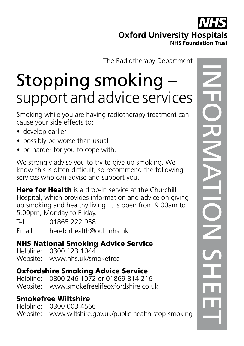## **Oxford University Hospitals NHS Foundation Trust**

The Radiotherapy Department

# Stopping smoking – support and advice services

Smoking while you are having radiotherapy treatment can cause your side effects to:

- develop earlier
- possibly be worse than usual
- be harder for you to cope with.

We strongly advise you to try to give up smoking. We know this is often difficult, so recommend the following services who can advise and support you.

Here for Health is a drop-in service at the Churchill Hospital, which provides information and advice on giving up smoking and healthy living. It is open from 9.00am to 5.00pm, Monday to Friday.

Tel: 01865 222 958

Email: hereforhealth@ouh.nhs.uk

#### NHS National Smoking Advice Service

Helpline: 0300 123 1044 Website: www.nhs.uk/smokefree

#### Oxfordshire Smoking Advice Service

Helpline: 0800 246 1072 or 01869 814 216 Website: www.smokefreelifeoxfordshire.co.uk

#### Smokefree Wiltshire

Helpline: 0300 003 4566 Website: www.wiltshire.gov.uk/public-health-stop-smoking